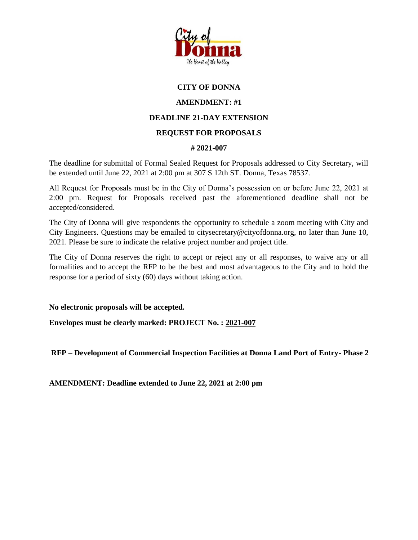

### **CITY OF DONNA**

### **AMENDMENT: #1**

## **DEADLINE 21-DAY EXTENSION**

# **REQUEST FOR PROPOSALS**

#### **# 2021-007**

The deadline for submittal of Formal Sealed Request for Proposals addressed to City Secretary, will be extended until June 22, 2021 at 2:00 pm at 307 S 12th ST. Donna, Texas 78537.

All Request for Proposals must be in the City of Donna's possession on or before June 22, 2021 at 2:00 pm. Request for Proposals received past the aforementioned deadline shall not be accepted/considered.

The City of Donna will give respondents the opportunity to schedule a zoom meeting with City and City Engineers. Questions may be emailed to citysecretary@cityofdonna.org, no later than June 10, 2021. Please be sure to indicate the relative project number and project title.

The City of Donna reserves the right to accept or reject any or all responses, to waive any or all formalities and to accept the RFP to be the best and most advantageous to the City and to hold the response for a period of sixty (60) days without taking action.

**No electronic proposals will be accepted.**

**Envelopes must be clearly marked: PROJECT No. : 2021-007**

**RFP – Development of Commercial Inspection Facilities at Donna Land Port of Entry- Phase 2**

**AMENDMENT: Deadline extended to June 22, 2021 at 2:00 pm**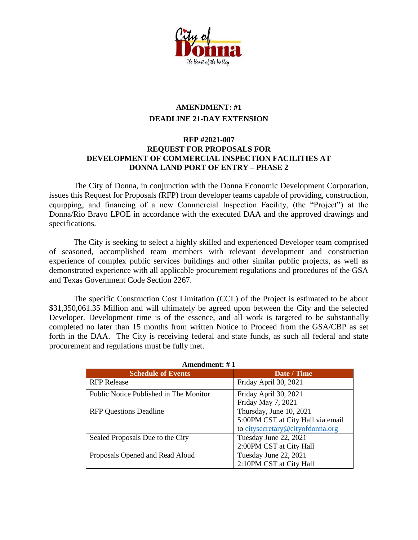

# **AMENDMENT: #1 DEADLINE 21-DAY EXTENSION**

#### **RFP #2021-007 REQUEST FOR PROPOSALS FOR DEVELOPMENT OF COMMERCIAL INSPECTION FACILITIES AT DONNA LAND PORT OF ENTRY – PHASE 2**

The City of Donna, in conjunction with the Donna Economic Development Corporation, issues this Request for Proposals (RFP) from developer teams capable of providing, construction, equipping, and financing of a new Commercial Inspection Facility, (the "Project") at the Donna/Rio Bravo LPOE in accordance with the executed DAA and the approved drawings and specifications.

The City is seeking to select a highly skilled and experienced Developer team comprised of seasoned, accomplished team members with relevant development and construction experience of complex public services buildings and other similar public projects, as well as demonstrated experience with all applicable procurement regulations and procedures of the GSA and Texas Government Code Section 2267.

The specific Construction Cost Limitation (CCL) of the Project is estimated to be about \$31,350,061.35 Million and will ultimately be agreed upon between the City and the selected Developer. Development time is of the essence, and all work is targeted to be substantially completed no later than 15 months from written Notice to Proceed from the GSA/CBP as set forth in the DAA. The City is receiving federal and state funds, as such all federal and state procurement and regulations must be fully met.

| <b>Schedule of Events</b>              | Date / Time                       |
|----------------------------------------|-----------------------------------|
| <b>RFP</b> Release                     | Friday April 30, 2021             |
| Public Notice Published in The Monitor | Friday April 30, 2021             |
|                                        | Friday May 7, 2021                |
| <b>RFP Questions Deadline</b>          | Thursday, June 10, 2021           |
|                                        | 5:00PM CST at City Hall via email |
|                                        | to citysecretary@cityofdonna.org  |
| Sealed Proposals Due to the City       | Tuesday June 22, 2021             |
|                                        | 2:00PM CST at City Hall           |
| Proposals Opened and Read Aloud        | Tuesday June 22, 2021             |
|                                        | 2:10PM CST at City Hall           |

**Amendment: # 1**